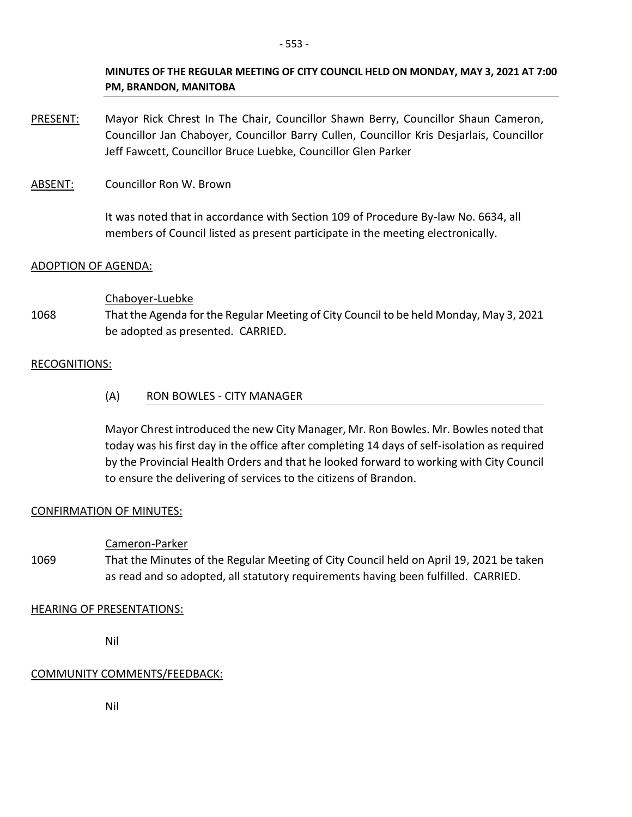### **MINUTES OF THE REGULAR MEETING OF CITY COUNCIL HELD ON MONDAY, MAY 3, 2021 AT 7:00 PM, BRANDON, MANITOBA**

PRESENT: Mayor Rick Chrest In The Chair, Councillor Shawn Berry, Councillor Shaun Cameron, Councillor Jan Chaboyer, Councillor Barry Cullen, Councillor Kris Desjarlais, Councillor Jeff Fawcett, Councillor Bruce Luebke, Councillor Glen Parker

ABSENT: Councillor Ron W. Brown

It was noted that in accordance with Section 109 of Procedure By-law No. 6634, all members of Council listed as present participate in the meeting electronically.

### ADOPTION OF AGENDA:

### Chaboyer-Luebke

1068 That the Agenda for the Regular Meeting of City Council to be held Monday, May 3, 2021 be adopted as presented. CARRIED.

### RECOGNITIONS:

(A) RON BOWLES - CITY MANAGER

Mayor Chrest introduced the new City Manager, Mr. Ron Bowles. Mr. Bowles noted that today was his first day in the office after completing 14 days of self-isolation as required by the Provincial Health Orders and that he looked forward to working with City Council to ensure the delivering of services to the citizens of Brandon.

### CONFIRMATION OF MINUTES:

# Cameron-Parker

1069 That the Minutes of the Regular Meeting of City Council held on April 19, 2021 be taken as read and so adopted, all statutory requirements having been fulfilled. CARRIED.

### HEARING OF PRESENTATIONS:

Nil

# COMMUNITY COMMENTS/FEEDBACK:

Nil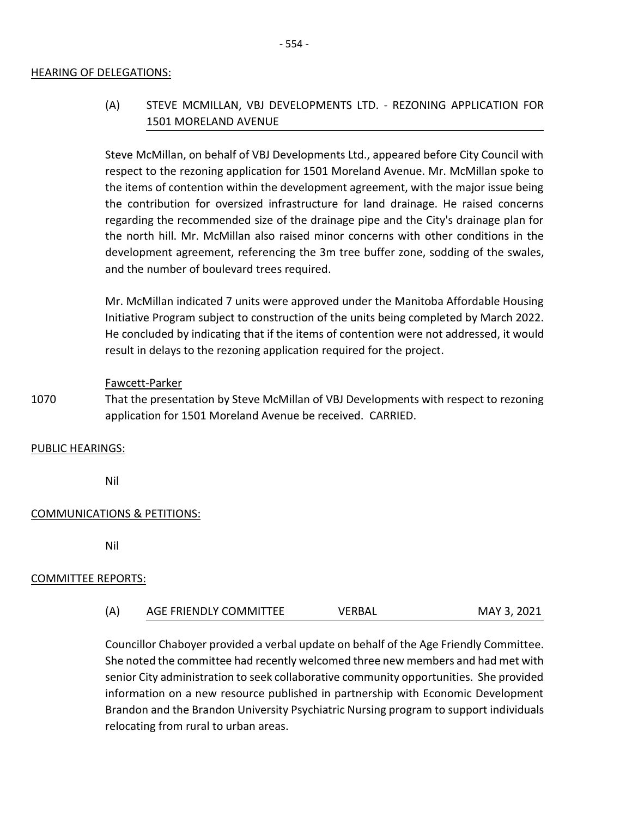#### HEARING OF DELEGATIONS:

# (A) STEVE MCMILLAN, VBJ DEVELOPMENTS LTD. - REZONING APPLICATION FOR 1501 MORELAND AVENUE

Steve McMillan, on behalf of VBJ Developments Ltd., appeared before City Council with respect to the rezoning application for 1501 Moreland Avenue. Mr. McMillan spoke to the items of contention within the development agreement, with the major issue being the contribution for oversized infrastructure for land drainage. He raised concerns regarding the recommended size of the drainage pipe and the City's drainage plan for the north hill. Mr. McMillan also raised minor concerns with other conditions in the development agreement, referencing the 3m tree buffer zone, sodding of the swales, and the number of boulevard trees required.

Mr. McMillan indicated 7 units were approved under the Manitoba Affordable Housing Initiative Program subject to construction of the units being completed by March 2022. He concluded by indicating that if the items of contention were not addressed, it would result in delays to the rezoning application required for the project.

#### Fawcett-Parker

1070 That the presentation by Steve McMillan of VBJ Developments with respect to rezoning application for 1501 Moreland Avenue be received. CARRIED.

#### PUBLIC HEARINGS:

Nil

#### COMMUNICATIONS & PETITIONS:

Nil

#### COMMITTEE REPORTS:

| (A) | AGE FRIENDLY COMMITTEE | VERBAL | MAY 3, 2021 |
|-----|------------------------|--------|-------------|
|-----|------------------------|--------|-------------|

Councillor Chaboyer provided a verbal update on behalf of the Age Friendly Committee. She noted the committee had recently welcomed three new members and had met with senior City administration to seek collaborative community opportunities. She provided information on a new resource published in partnership with Economic Development Brandon and the Brandon University Psychiatric Nursing program to support individuals relocating from rural to urban areas.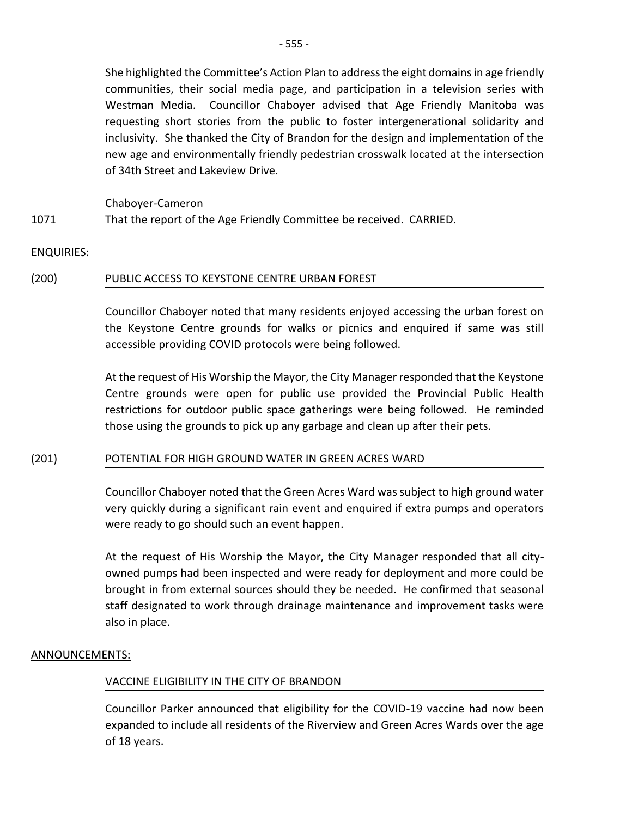She highlighted the Committee's Action Plan to address the eight domains in age friendly communities, their social media page, and participation in a television series with Westman Media. Councillor Chaboyer advised that Age Friendly Manitoba was requesting short stories from the public to foster intergenerational solidarity and inclusivity. She thanked the City of Brandon for the design and implementation of the new age and environmentally friendly pedestrian crosswalk located at the intersection of 34th Street and Lakeview Drive.

#### Chaboyer-Cameron

1071 That the report of the Age Friendly Committee be received. CARRIED.

#### ENQUIRIES:

#### (200) PUBLIC ACCESS TO KEYSTONE CENTRE URBAN FOREST

Councillor Chaboyer noted that many residents enjoyed accessing the urban forest on the Keystone Centre grounds for walks or picnics and enquired if same was still accessible providing COVID protocols were being followed.

At the request of His Worship the Mayor, the City Manager responded that the Keystone Centre grounds were open for public use provided the Provincial Public Health restrictions for outdoor public space gatherings were being followed. He reminded those using the grounds to pick up any garbage and clean up after their pets.

#### (201) POTENTIAL FOR HIGH GROUND WATER IN GREEN ACRES WARD

Councillor Chaboyer noted that the Green Acres Ward was subject to high ground water very quickly during a significant rain event and enquired if extra pumps and operators were ready to go should such an event happen.

At the request of His Worship the Mayor, the City Manager responded that all cityowned pumps had been inspected and were ready for deployment and more could be brought in from external sources should they be needed. He confirmed that seasonal staff designated to work through drainage maintenance and improvement tasks were also in place.

#### ANNOUNCEMENTS:

### VACCINE ELIGIBILITY IN THE CITY OF BRANDON

Councillor Parker announced that eligibility for the COVID-19 vaccine had now been expanded to include all residents of the Riverview and Green Acres Wards over the age of 18 years.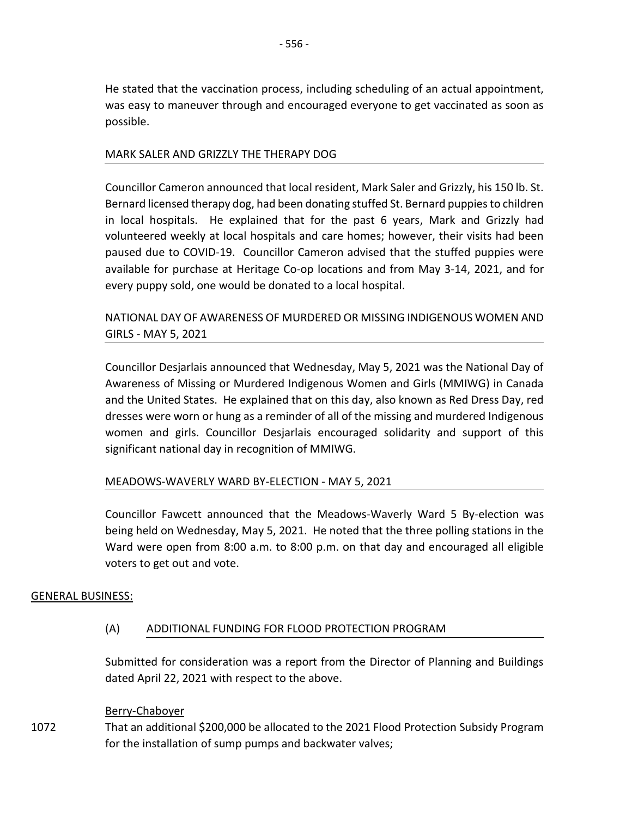He stated that the vaccination process, including scheduling of an actual appointment, was easy to maneuver through and encouraged everyone to get vaccinated as soon as possible.

### MARK SALER AND GRIZZLY THE THERAPY DOG

Councillor Cameron announced that local resident, Mark Saler and Grizzly, his 150 lb. St. Bernard licensed therapy dog, had been donating stuffed St. Bernard puppies to children in local hospitals. He explained that for the past 6 years, Mark and Grizzly had volunteered weekly at local hospitals and care homes; however, their visits had been paused due to COVID-19. Councillor Cameron advised that the stuffed puppies were available for purchase at Heritage Co-op locations and from May 3-14, 2021, and for every puppy sold, one would be donated to a local hospital.

# NATIONAL DAY OF AWARENESS OF MURDERED OR MISSING INDIGENOUS WOMEN AND GIRLS - MAY 5, 2021

Councillor Desjarlais announced that Wednesday, May 5, 2021 was the National Day of Awareness of Missing or Murdered Indigenous Women and Girls (MMIWG) in Canada and the United States. He explained that on this day, also known as Red Dress Day, red dresses were worn or hung as a reminder of all of the missing and murdered Indigenous women and girls. Councillor Desjarlais encouraged solidarity and support of this significant national day in recognition of MMIWG.

### MEADOWS-WAVERLY WARD BY-ELECTION - MAY 5, 2021

Councillor Fawcett announced that the Meadows-Waverly Ward 5 By-election was being held on Wednesday, May 5, 2021. He noted that the three polling stations in the Ward were open from 8:00 a.m. to 8:00 p.m. on that day and encouraged all eligible voters to get out and vote.

### GENERAL BUSINESS:

### (A) ADDITIONAL FUNDING FOR FLOOD PROTECTION PROGRAM

Submitted for consideration was a report from the Director of Planning and Buildings dated April 22, 2021 with respect to the above.

### Berry-Chaboyer

1072 That an additional \$200,000 be allocated to the 2021 Flood Protection Subsidy Program for the installation of sump pumps and backwater valves;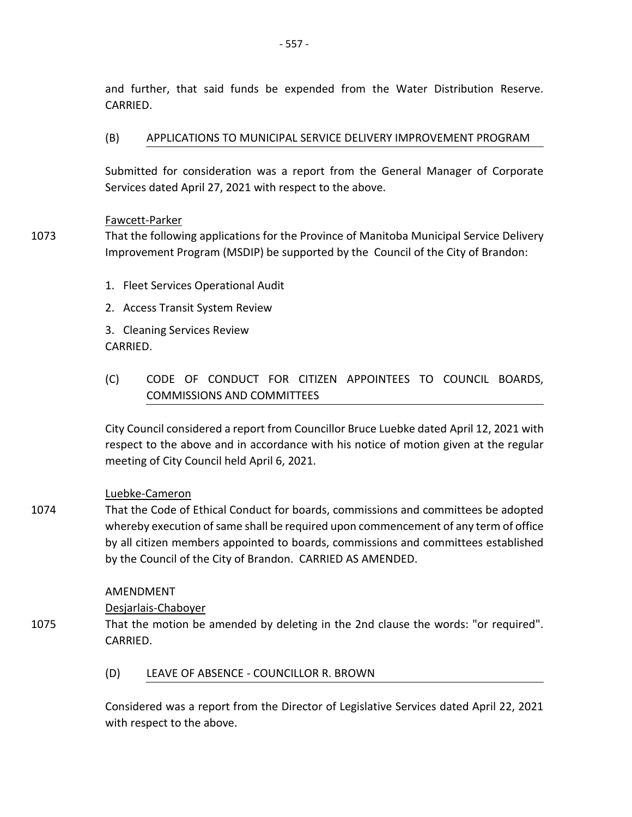and further, that said funds be expended from the Water Distribution Reserve. CARRIED.

### (B) APPLICATIONS TO MUNICIPAL SERVICE DELIVERY IMPROVEMENT PROGRAM

Submitted for consideration was a report from the General Manager of Corporate Services dated April 27, 2021 with respect to the above.

### Fawcett-Parker

- 1073 That the following applications for the Province of Manitoba Municipal Service Delivery Improvement Program (MSDIP) be supported by the Council of the City of Brandon:
	- 1. Fleet Services Operational Audit
	- 2. Access Transit System Review

3. Cleaning Services Review CARRIED.

# (C) CODE OF CONDUCT FOR CITIZEN APPOINTEES TO COUNCIL BOARDS, COMMISSIONS AND COMMITTEES

City Council considered a report from Councillor Bruce Luebke dated April 12, 2021 with respect to the above and in accordance with his notice of motion given at the regular meeting of City Council held April 6, 2021.

# Luebke-Cameron

1074 That the Code of Ethical Conduct for boards, commissions and committees be adopted whereby execution of same shall be required upon commencement of any term of office by all citizen members appointed to boards, commissions and committees established by the Council of the City of Brandon. CARRIED AS AMENDED.

### AMENDMENT

Desjarlais-Chaboyer

- 1075 That the motion be amended by deleting in the 2nd clause the words: "or required". CARRIED.
	- (D) LEAVE OF ABSENCE COUNCILLOR R. BROWN

Considered was a report from the Director of Legislative Services dated April 22, 2021 with respect to the above.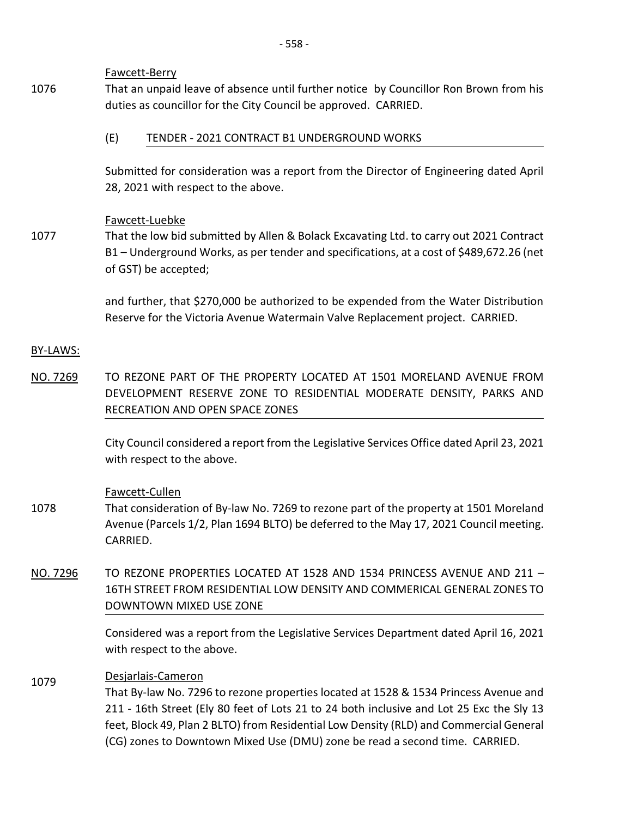Fawcett-Berry

- 1076 That an unpaid leave of absence until further notice by Councillor Ron Brown from his duties as councillor for the City Council be approved. CARRIED.
	- (E) TENDER 2021 CONTRACT B1 UNDERGROUND WORKS

Submitted for consideration was a report from the Director of Engineering dated April 28, 2021 with respect to the above.

### Fawcett-Luebke

1077 That the low bid submitted by Allen & Bolack Excavating Ltd. to carry out 2021 Contract B1 – Underground Works, as per tender and specifications, at a cost of \$489,672.26 (net of GST) be accepted;

> and further, that \$270,000 be authorized to be expended from the Water Distribution Reserve for the Victoria Avenue Watermain Valve Replacement project. CARRIED.

### BY-LAWS:

NO. 7269 TO REZONE PART OF THE PROPERTY LOCATED AT 1501 MORELAND AVENUE FROM DEVELOPMENT RESERVE ZONE TO RESIDENTIAL MODERATE DENSITY, PARKS AND RECREATION AND OPEN SPACE ZONES

> City Council considered a report from the Legislative Services Office dated April 23, 2021 with respect to the above.

### Fawcett-Cullen

- 1078 That consideration of By-law No. 7269 to rezone part of the property at 1501 Moreland Avenue (Parcels 1/2, Plan 1694 BLTO) be deferred to the May 17, 2021 Council meeting. CARRIED.
- NO. 7296 TO REZONE PROPERTIES LOCATED AT 1528 AND 1534 PRINCESS AVENUE AND 211 -16TH STREET FROM RESIDENTIAL LOW DENSITY AND COMMERICAL GENERAL ZONES TO DOWNTOWN MIXED USE ZONE

Considered was a report from the Legislative Services Department dated April 16, 2021 with respect to the above.

# <sup>1079</sup> Desjarlais-Cameron

That By-law No. 7296 to rezone properties located at 1528 & 1534 Princess Avenue and 211 - 16th Street (Ely 80 feet of Lots 21 to 24 both inclusive and Lot 25 Exc the Sly 13 feet, Block 49, Plan 2 BLTO) from Residential Low Density (RLD) and Commercial General (CG) zones to Downtown Mixed Use (DMU) zone be read a second time. CARRIED.